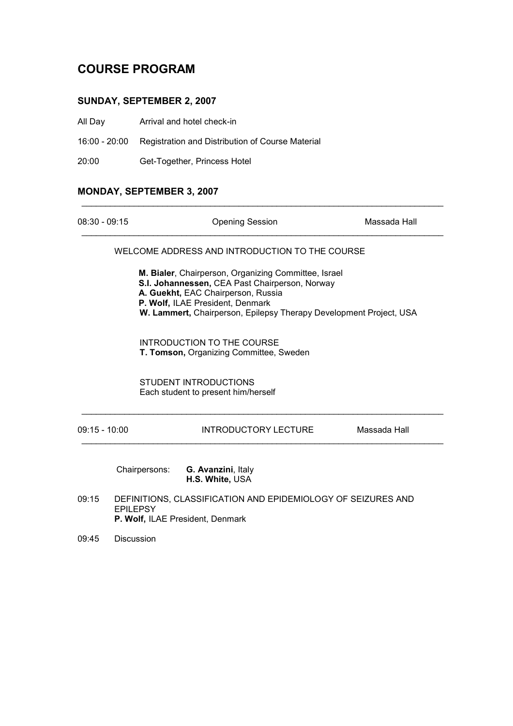# COURSE PROGRAM

# SUNDAY, SEPTEMBER 2, 2007

- All Day Arrival and hotel check-in
- 16:00 20:00 Registration and Distribution of Course Material

20:00 Get-Together, Princess Hotel

## MONDAY, SEPTEMBER 3, 2007

| $08:30 - 09:15$ |                                                                                                                     | <b>Opening Session</b>                                                                                                                                                                                                                                 | Massada Hall |
|-----------------|---------------------------------------------------------------------------------------------------------------------|--------------------------------------------------------------------------------------------------------------------------------------------------------------------------------------------------------------------------------------------------------|--------------|
|                 |                                                                                                                     | WELCOME ADDRESS AND INTRODUCTION TO THE COURSE                                                                                                                                                                                                         |              |
|                 |                                                                                                                     | M. Bialer, Chairperson, Organizing Committee, Israel<br>S.I. Johannessen, CEA Past Chairperson, Norway<br>A. Guekht, EAC Chairperson, Russia<br>P. Wolf, ILAE President, Denmark<br>W. Lammert, Chairperson, Epilepsy Therapy Development Project, USA |              |
|                 |                                                                                                                     | <b>INTRODUCTION TO THE COURSE</b><br>T. Tomson, Organizing Committee, Sweden                                                                                                                                                                           |              |
|                 |                                                                                                                     | <b>STUDENT INTRODUCTIONS</b><br>Each student to present him/herself                                                                                                                                                                                    |              |
| $09:15 - 10:00$ |                                                                                                                     | INTRODUCTORY LECTURE                                                                                                                                                                                                                                   | Massada Hall |
|                 | Chairpersons:                                                                                                       | G. Avanzini, Italy<br>H.S. White, USA                                                                                                                                                                                                                  |              |
| 09:15           | DEFINITIONS, CLASSIFICATION AND EPIDEMIOLOGY OF SEIZURES AND<br><b>EPILEPSY</b><br>P. Wolf, ILAE President, Denmark |                                                                                                                                                                                                                                                        |              |
| 09:45           | <b>Discussion</b>                                                                                                   |                                                                                                                                                                                                                                                        |              |

\_\_\_\_\_\_\_\_\_\_\_\_\_\_\_\_\_\_\_\_\_\_\_\_\_\_\_\_\_\_\_\_\_\_\_\_\_\_\_\_\_\_\_\_\_\_\_\_\_\_\_\_\_\_\_\_\_\_\_\_\_\_\_\_\_\_\_\_\_\_\_\_\_\_\_\_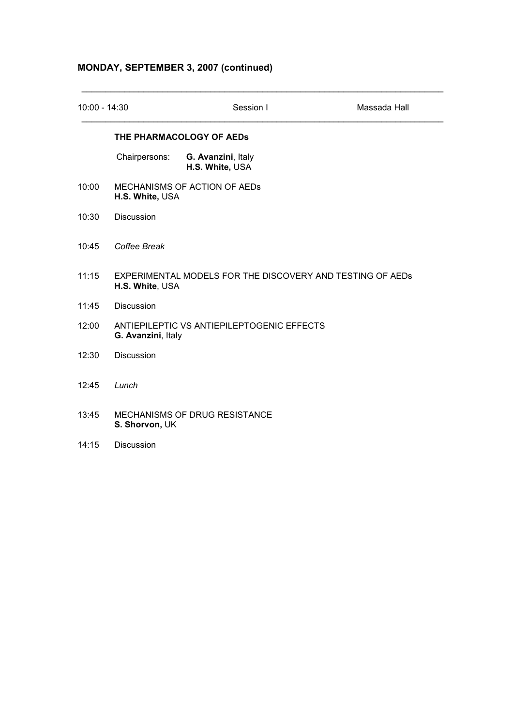## MONDAY, SEPTEMBER 3, 2007 (continued)

| $10:00 - 14:30$ |                                                                  | Session I                                                 | Massada Hall |
|-----------------|------------------------------------------------------------------|-----------------------------------------------------------|--------------|
|                 |                                                                  | THE PHARMACOLOGY OF AEDS                                  |              |
|                 | Chairpersons:                                                    | G. Avanzini, Italy<br>H.S. White, USA                     |              |
| 10:00           | H.S. White, USA                                                  | MECHANISMS OF ACTION OF AEDS                              |              |
| 10:30           | Discussion                                                       |                                                           |              |
| 10:45           | Coffee Break                                                     |                                                           |              |
| 11:15           | H.S. White, USA                                                  | EXPERIMENTAL MODELS FOR THE DISCOVERY AND TESTING OF AEDS |              |
| 11:45           | <b>Discussion</b>                                                |                                                           |              |
| 12:00           | ANTIEPILEPTIC VS ANTIEPILEPTOGENIC EFFECTS<br>G. Avanzini, Italy |                                                           |              |
| 12:30           | Discussion                                                       |                                                           |              |
| 12:45           | Lunch                                                            |                                                           |              |
| 13:45           | S. Shorvon, UK                                                   | MECHANISMS OF DRUG RESISTANCE                             |              |

\_\_\_\_\_\_\_\_\_\_\_\_\_\_\_\_\_\_\_\_\_\_\_\_\_\_\_\_\_\_\_\_\_\_\_\_\_\_\_\_\_\_\_\_\_\_\_\_\_\_\_\_\_\_\_\_\_\_\_\_\_\_\_\_\_\_\_\_\_\_\_\_\_\_\_\_

14:15 Discussion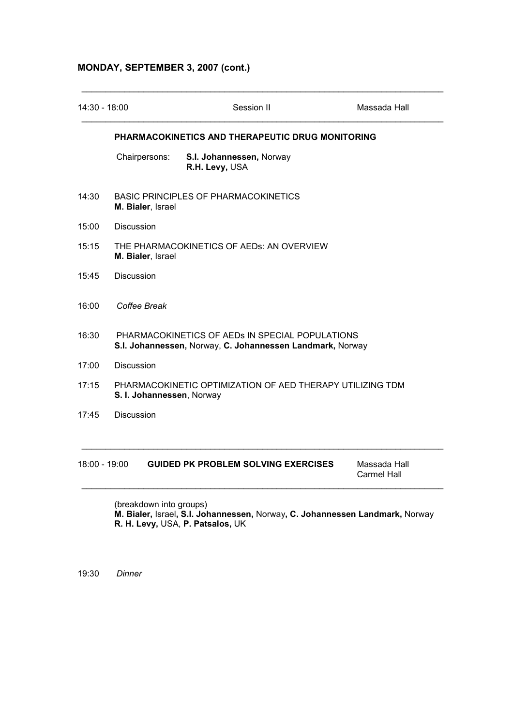## MONDAY, SEPTEMBER 3, 2007 (cont.)

| 14:30 - 18:00 |                                                                                                              | Session II                                                | Massada Hall |
|---------------|--------------------------------------------------------------------------------------------------------------|-----------------------------------------------------------|--------------|
|               |                                                                                                              | PHARMACOKINETICS AND THERAPEUTIC DRUG MONITORING          |              |
|               | Chairpersons:                                                                                                | S.I. Johannessen, Norway<br>R.H. Levy, USA                |              |
| 14:30         | <b>BASIC PRINCIPLES OF PHARMACOKINETICS</b><br>M. Bialer, Israel                                             |                                                           |              |
| 15:00         | <b>Discussion</b>                                                                                            |                                                           |              |
| 15:15         | THE PHARMACOKINETICS OF AEDS: AN OVERVIEW<br>M. Bialer, Israel                                               |                                                           |              |
| 15:45         | Discussion                                                                                                   |                                                           |              |
| 16:00         | Coffee Break                                                                                                 |                                                           |              |
| 16:30         | PHARMACOKINETICS OF AEDS IN SPECIAL POPULATIONS<br>S.I. Johannessen, Norway, C. Johannessen Landmark, Norway |                                                           |              |
| 17:00         | Discussion                                                                                                   |                                                           |              |
| 17:15         | S. I. Johannessen, Norway                                                                                    | PHARMACOKINETIC OPTIMIZATION OF AED THERAPY UTILIZING TDM |              |
| 17:45         | <b>Discussion</b>                                                                                            |                                                           |              |

#### 18:00 - 19:00 GUIDED PK PROBLEM SOLVING EXERCISES Massada Hall Carmel Hall

 (breakdown into groups) M. Bialer, Israel, S.I. Johannessen, Norway, C. Johannessen Landmark, Norway R. H. Levy, USA, P. Patsalos, UK

\_\_\_\_\_\_\_\_\_\_\_\_\_\_\_\_\_\_\_\_\_\_\_\_\_\_\_\_\_\_\_\_\_\_\_\_\_\_\_\_\_\_\_\_\_\_\_\_\_\_\_\_\_\_\_\_\_\_\_\_\_\_\_\_\_\_\_\_\_\_\_\_\_\_\_\_

19:30 Dinner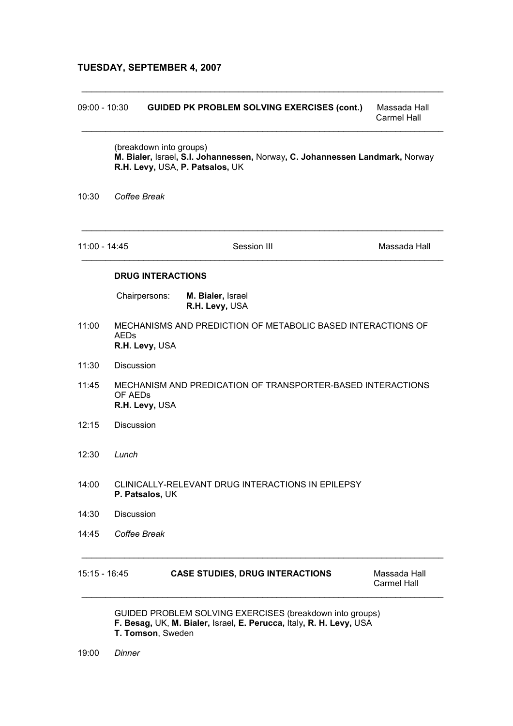#### TUESDAY, SEPTEMBER 4, 2007

# 09:00 - 10:30 GUIDED PK PROBLEM SOLVING EXERCISES (cont.) Massada Hall Carmel Hall \_\_\_\_\_\_\_\_\_\_\_\_\_\_\_\_\_\_\_\_\_\_\_\_\_\_\_\_\_\_\_\_\_\_\_\_\_\_\_\_\_\_\_\_\_\_\_\_\_\_\_\_\_\_\_\_\_\_\_\_\_\_\_\_\_\_\_\_\_\_\_\_\_\_\_\_ (breakdown into groups) M. Bialer, Israel, S.I. Johannessen, Norway, C. Johannessen Landmark, Norway R.H. Levy, USA, P. Patsalos, UK 10:30 Coffee Break \_\_\_\_\_\_\_\_\_\_\_\_\_\_\_\_\_\_\_\_\_\_\_\_\_\_\_\_\_\_\_\_\_\_\_\_\_\_\_\_\_\_\_\_\_\_\_\_\_\_\_\_\_\_\_\_\_\_\_\_\_\_\_\_\_\_\_\_\_\_\_\_\_\_\_\_ 11:00 - 14:45 Session III Massada Hall \_\_\_\_\_\_\_\_\_\_\_\_\_\_\_\_\_\_\_\_\_\_\_\_\_\_\_\_\_\_\_\_\_\_\_\_\_\_\_\_\_\_\_\_\_\_\_\_\_\_\_\_\_\_\_\_\_\_\_\_\_\_\_\_\_\_\_\_\_\_\_\_\_\_\_\_ DRUG INTERACTIONS Chairpersons: M. Bialer, Israel R.H. Levy, USA 11:00 MECHANISMS AND PREDICTION OF METABOLIC BASED INTERACTIONS OF AEDs R.H. Levy, USA 11:30 Discussion 11:45 MECHANISM AND PREDICATION OF TRANSPORTER-BASED INTERACTIONS OF AEDs R.H. Levy, USA 12:15 Discussion 12:30 Lunch 14:00 CLINICALLY-RELEVANT DRUG INTERACTIONS IN EPILEPSY P. Patsalos, UK 14:30 Discussion 14:45 Coffee Break \_\_\_\_\_\_\_\_\_\_\_\_\_\_\_\_\_\_\_\_\_\_\_\_\_\_\_\_\_\_\_\_\_\_\_\_\_\_\_\_\_\_\_\_\_\_\_\_\_\_\_\_\_\_\_\_\_\_\_\_\_\_\_\_\_\_\_\_\_\_\_\_\_\_\_\_ 15:15 - 16:45 CASE STUDIES, DRUG INTERACTIONS Massada Hall Carmel Hall \_\_\_\_\_\_\_\_\_\_\_\_\_\_\_\_\_\_\_\_\_\_\_\_\_\_\_\_\_\_\_\_\_\_\_\_\_\_\_\_\_\_\_\_\_\_\_\_\_\_\_\_\_\_\_\_\_\_\_\_\_\_\_\_\_\_\_\_\_\_\_\_\_\_\_\_

\_\_\_\_\_\_\_\_\_\_\_\_\_\_\_\_\_\_\_\_\_\_\_\_\_\_\_\_\_\_\_\_\_\_\_\_\_\_\_\_\_\_\_\_\_\_\_\_\_\_\_\_\_\_\_\_\_\_\_\_\_\_\_\_\_\_\_\_\_\_\_\_\_\_\_\_

 GUIDED PROBLEM SOLVING EXERCISES (breakdown into groups) F. Besag, UK, M. Bialer, Israel, E. Perucca, Italy, R. H. Levy, USA T. Tomson, Sweden

19:00 Dinner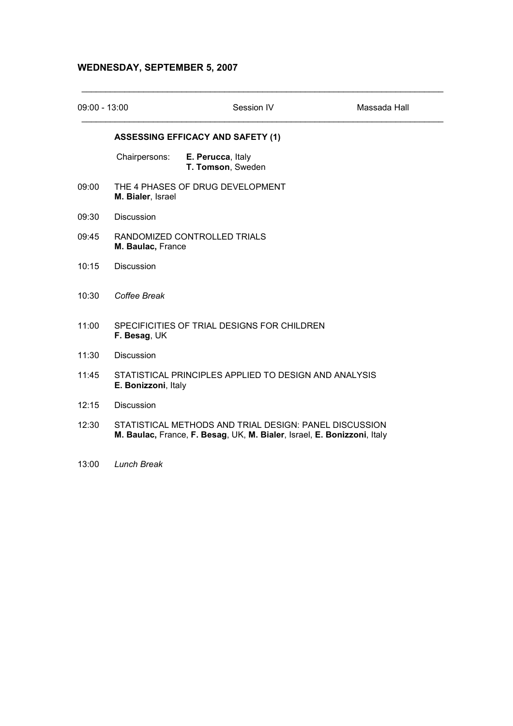## WEDNESDAY, SEPTEMBER 5, 2007

| $09:00 - 13:00$ |                     | Session IV                                                                                                                        | Massada Hall |
|-----------------|---------------------|-----------------------------------------------------------------------------------------------------------------------------------|--------------|
|                 |                     | <b>ASSESSING EFFICACY AND SAFETY (1)</b>                                                                                          |              |
|                 | Chairpersons:       | E. Perucca, Italy<br>T. Tomson, Sweden                                                                                            |              |
| 09:00           | M. Bialer, Israel   | THE 4 PHASES OF DRUG DEVELOPMENT                                                                                                  |              |
| 09:30           | <b>Discussion</b>   |                                                                                                                                   |              |
| 09:45           | M. Baulac, France   | RANDOMIZED CONTROLLED TRIALS                                                                                                      |              |
| 10:15           | <b>Discussion</b>   |                                                                                                                                   |              |
| 10:30           | Coffee Break        |                                                                                                                                   |              |
| 11:00           | F. Besag, UK        | SPECIFICITIES OF TRIAL DESIGNS FOR CHILDREN                                                                                       |              |
| 11:30           | <b>Discussion</b>   |                                                                                                                                   |              |
| 11:45           | E. Bonizzoni, Italy | STATISTICAL PRINCIPLES APPLIED TO DESIGN AND ANALYSIS                                                                             |              |
| 12:15           | <b>Discussion</b>   |                                                                                                                                   |              |
| 12:30           |                     | STATISTICAL METHODS AND TRIAL DESIGN: PANEL DISCUSSION<br>M. Baulac, France, F. Besag, UK, M. Bialer, Israel, E. Bonizzoni, Italy |              |
|                 |                     |                                                                                                                                   |              |

13:00 Lunch Break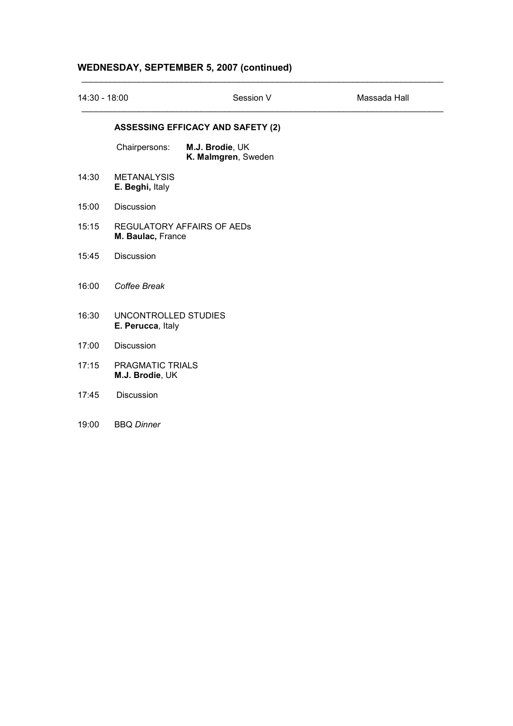# WEDNESDAY, SEPTEMBER 5, 2007 (continued)

| 14:30 - 18:00 |                                                 | Session V                                | Massada Hall |
|---------------|-------------------------------------------------|------------------------------------------|--------------|
|               |                                                 | <b>ASSESSING EFFICACY AND SAFETY (2)</b> |              |
|               | Chairpersons:                                   | M.J. Brodie, UK<br>K. Malmgren, Sweden   |              |
| 14:30         | <b>METANALYSIS</b><br>E. Beghi, Italy           |                                          |              |
| 15:00         | Discussion                                      |                                          |              |
| 15:15         | REGULATORY AFFAIRS OF AEDS<br>M. Baulac, France |                                          |              |
| 15:45         | Discussion                                      |                                          |              |
| 16:00         | Coffee Break                                    |                                          |              |
| 16:30         | UNCONTROLLED STUDIES<br>E. Perucca, Italy       |                                          |              |
| 17:00         | <b>Discussion</b>                               |                                          |              |
| 17:15         | <b>PRAGMATIC TRIALS</b><br>M.J. Brodie, UK      |                                          |              |
| 17:45         | <b>Discussion</b>                               |                                          |              |
| 19:00         | <b>BBQ Dinner</b>                               |                                          |              |

\_\_\_\_\_\_\_\_\_\_\_\_\_\_\_\_\_\_\_\_\_\_\_\_\_\_\_\_\_\_\_\_\_\_\_\_\_\_\_\_\_\_\_\_\_\_\_\_\_\_\_\_\_\_\_\_\_\_\_\_\_\_\_\_\_\_\_\_\_\_\_\_\_\_\_\_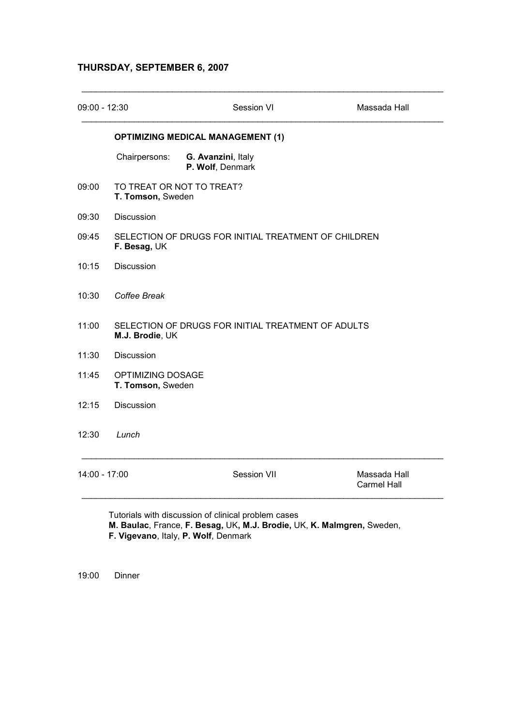## THURSDAY, SEPTEMBER 6, 2007

| $09:00 - 12:30$ |                                               | <b>Session VI</b>                                    | Massada Hall                       |
|-----------------|-----------------------------------------------|------------------------------------------------------|------------------------------------|
|                 |                                               | <b>OPTIMIZING MEDICAL MANAGEMENT (1)</b>             |                                    |
|                 | Chairpersons:                                 | G. Avanzini, Italy<br>P. Wolf, Denmark               |                                    |
| 09:00           | T. Tomson, Sweden                             | TO TREAT OR NOT TO TREAT?                            |                                    |
| 09:30           | <b>Discussion</b>                             |                                                      |                                    |
| 09:45           | F. Besag, UK                                  | SELECTION OF DRUGS FOR INITIAL TREATMENT OF CHILDREN |                                    |
| 10:15           | <b>Discussion</b>                             |                                                      |                                    |
| 10:30           | Coffee Break                                  |                                                      |                                    |
| 11:00           | M.J. Brodie, UK                               | SELECTION OF DRUGS FOR INITIAL TREATMENT OF ADULTS   |                                    |
| 11:30           | Discussion                                    |                                                      |                                    |
| 11:45           | <b>OPTIMIZING DOSAGE</b><br>T. Tomson, Sweden |                                                      |                                    |
| 12:15           | <b>Discussion</b>                             |                                                      |                                    |
| 12:30           | Lunch                                         |                                                      |                                    |
| $14:00 - 17:00$ |                                               | Session VII                                          | Massada Hall<br><b>Carmel Hall</b> |

 Tutorials with discussion of clinical problem cases M. Baulac, France, F. Besag, UK, M.J. Brodie, UK, K. Malmgren, Sweden, F. Vigevano, Italy, P. Wolf, Denmark

19:00 Dinner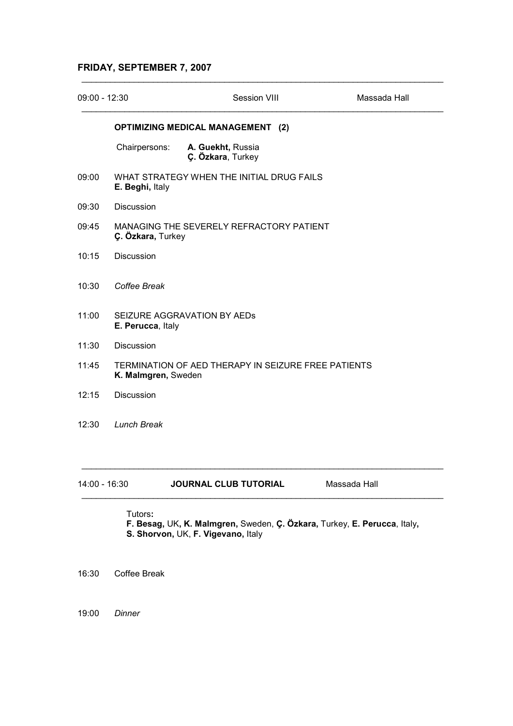## FRIDAY, SEPTEMBER 7, 2007

| $09:00 - 12:30$ |                                                                            | Session VIII                             | Massada Hall |
|-----------------|----------------------------------------------------------------------------|------------------------------------------|--------------|
|                 |                                                                            | <b>OPTIMIZING MEDICAL MANAGEMENT (2)</b> |              |
|                 | Chairpersons:                                                              | A. Guekht, Russia<br>Ç. Özkara, Turkey   |              |
| 09:00           | WHAT STRATEGY WHEN THE INITIAL DRUG FAILS<br>E. Beghi, Italy               |                                          |              |
| 09:30           | <b>Discussion</b>                                                          |                                          |              |
| 09:45           | MANAGING THE SEVERELY REFRACTORY PATIENT<br>Ç. Özkara, Turkey              |                                          |              |
| 10:15           | <b>Discussion</b>                                                          |                                          |              |
| 10:30           | Coffee Break                                                               |                                          |              |
| 11:00           | SEIZURE AGGRAVATION BY AEDS<br>E. Perucca, Italy                           |                                          |              |
| 11:30           | Discussion                                                                 |                                          |              |
| 11:45           | TERMINATION OF AED THERAPY IN SEIZURE FREE PATIENTS<br>K. Malmgren, Sweden |                                          |              |
| 12:15           | <b>Discussion</b>                                                          |                                          |              |
| 12:30           | <b>Lunch Break</b>                                                         |                                          |              |
| 14:00 - 16:30   |                                                                            | <b>JOURNAL CLUB TUTORIAL</b>             | Massada Hall |

\_\_\_\_\_\_\_\_\_\_\_\_\_\_\_\_\_\_\_\_\_\_\_\_\_\_\_\_\_\_\_\_\_\_\_\_\_\_\_\_\_\_\_\_\_\_\_\_\_\_\_\_\_\_\_\_\_\_\_\_\_\_\_\_\_\_\_\_\_\_\_\_\_\_\_\_

Tutors:

F. Besag, UK, K. Malmgren, Sweden, Ç. Özkara, Turkey, E. Perucca, Italy, S. Shorvon, UK, F. Vigevano, Italy

16:30 Coffee Break

19:00 Dinner